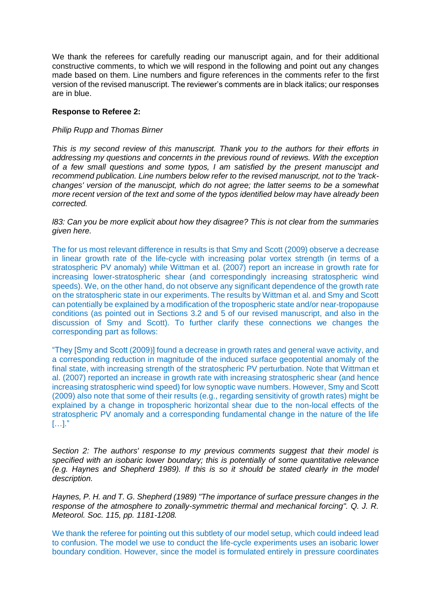We thank the referees for carefully reading our manuscript again, and for their additional constructive comments, to which we will respond in the following and point out any changes made based on them. Line numbers and figure references in the comments refer to the first version of the revised manuscript. The reviewer's comments are in black italics; our responses are in blue.

## **Response to Referee 2:**

## *Philip Rupp and Thomas Birner*

*This is my second review of this manuscript. Thank you to the authors for their efforts in addressing my questions and concernts in the previous round of reviews. With the exception of a few small questions and some typos, I am satisfied by the present manuscipt and recommend publication. Line numbers below refer to the revised manuscript, not to the 'trackchanges' version of the manuscipt, which do not agree; the latter seems to be a somewhat more recent version of the text and some of the typos identified below may have already been corrected.*

*l83: Can you be more explicit about how they disagree? This is not clear from the summaries given here.*

The for us most relevant difference in results is that Smy and Scott (2009) observe a decrease in linear growth rate of the life-cycle with increasing polar vortex strength (in terms of a stratospheric PV anomaly) while Wittman et al. (2007) report an increase in growth rate for increasing lower-stratospheric shear (and correspondingly increasing stratospheric wind speeds). We, on the other hand, do not observe any significant dependence of the growth rate on the stratospheric state in our experiments. The results by Wittman et al. and Smy and Scott can potentially be explained by a modification of the tropospheric state and/or near-tropopause conditions (as pointed out in Sections 3.2 and 5 of our revised manuscript, and also in the discussion of Smy and Scott). To further clarify these connections we changes the corresponding part as follows:

"They [Smy and Scott (2009)] found a decrease in growth rates and general wave activity, and a corresponding reduction in magnitude of the induced surface geopotential anomaly of the final state, with increasing strength of the stratospheric PV perturbation. Note that Wittman et al. (2007) reported an increase in growth rate with increasing stratospheric shear (and hence increasing stratospheric wind speed) for low synoptic wave numbers. However, Smy and Scott (2009) also note that some of their results (e.g., regarding sensitivity of growth rates) might be explained by a change in tropospheric horizontal shear due to the non-local effects of the stratospheric PV anomaly and a corresponding fundamental change in the nature of the life […]."

*Section 2: The authors' response to my previous comments suggest that their model is specified with an isobaric lower boundary; this is potentially of some quantitative relevance (e.g. Haynes and Shepherd 1989). If this is so it should be stated clearly in the model description.*

*Haynes, P. H. and T. G. Shepherd (1989) "The importance of surface pressure changes in the response of the atmosphere to zonally-symmetric thermal and mechanical forcing". Q. J. R. Meteorol. Soc. 115, pp. 1181-1208.*

We thank the referee for pointing out this subtlety of our model setup, which could indeed lead to confusion. The model we use to conduct the life-cycle experiments uses an isobaric lower boundary condition. However, since the model is formulated entirely in pressure coordinates